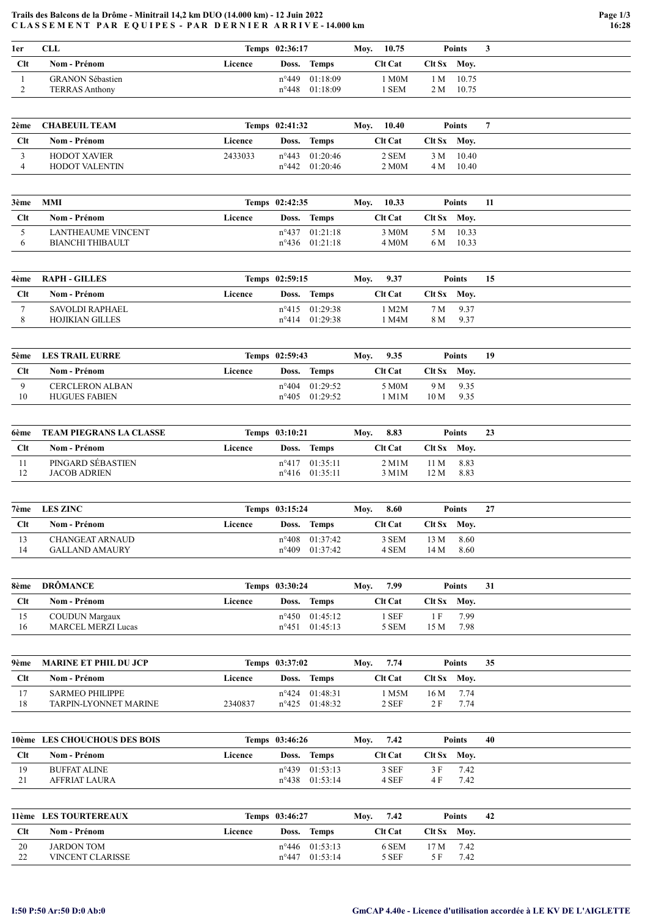## Trails des Balcons de la Drôme - Minitrail 14,2 km DUO (14.000 km) - 12 Juin 2022 CLASSEMENT PAR EQUIPES - PAR DERNIER ARRIVE-14.000 km

| 1er | CLL                     |         | Temps 02:36:17 |                         | Mov. | 10.75                   |             | <b>Points</b> |  |
|-----|-------------------------|---------|----------------|-------------------------|------|-------------------------|-------------|---------------|--|
| Clt | Nom - Prénom            | Licence | Doss.          | <b>Temps</b>            |      | <b>Clt Cat</b>          | Clt Sx Moy. |               |  |
|     | <b>GRANON Sébastien</b> |         |                | $n^{\circ}449$ 01:18:09 |      | $\mathbb{M}0\mathrm{M}$ | 1 M         | 10.75         |  |
|     | <b>TERRAS Anthony</b>   |         |                | $n^{\circ}448$ 01:18:09 |      | . SEM                   | 2 M         | 10.75         |  |

| 2ème | <b>CHABEUIL TEAM</b>  |         | Temps 02:41:32 |                         | Mov. | 10.40   |             | Points    |  |
|------|-----------------------|---------|----------------|-------------------------|------|---------|-------------|-----------|--|
| Clt  | Nom - Prénom          | Licence | Doss.          | Temps                   |      | Clt Cat | Clt Sx Mov. |           |  |
|      | <b>HODOT XAVIER</b>   | 2433033 |                | $n^{\circ}443$ 01:20:46 |      | 2 SEM   |             | 3 M 10.40 |  |
|      | <b>HODOT VALENTIN</b> |         |                | $n^{\circ}442$ 01:20:46 |      | 2 M0M   |             | 4 M 10.40 |  |

| 3ème | MMI                |         | Temps 02:42:35 |                         | Mov. | 10.33              |             | <b>Points</b> | 11 |
|------|--------------------|---------|----------------|-------------------------|------|--------------------|-------------|---------------|----|
| Clt  | Nom - Prénom       | Licence | Doss.          | <b>Temps</b>            |      | <b>Clt Cat</b>     | Clt Sx Moy. |               |    |
|      | LANTHEAUME VINCENT |         |                | $n^{\circ}437$ 01:21:18 |      | 3 M <sub>0</sub> M |             | 5 M 10.33     |    |
|      | BIANCHI THIBAULT   |         |                | $n^{\circ}436$ 01:21:18 |      | 4 M <sub>0</sub> M | 6 M         | 10.33         |    |

| 4ème | RAPH - GILLES   |         | Temps 02:59:15 |                         | Mov. | 9.37      | Points        | 15   |  |
|------|-----------------|---------|----------------|-------------------------|------|-----------|---------------|------|--|
| Clt  | Nom - Prénom    | Licence | Doss.          | <b>Temps</b>            |      | Clt Cat - | $Clt Sx$ Mov. |      |  |
|      | SAVOLDI RAPHAEL |         |                | $n^{\circ}415$ 01:29:38 |      | M2M       | 7 M 9.37      |      |  |
|      | HOJIKIAN GILLES |         |                | $n^{\circ}414$ 01:29:38 |      | M4M       | 8 M           | 9.37 |  |

| 5ème       | <b>LES TRAIL EURRE</b> |         | Temps 02:59:43 |                         | Moy. | 9.35           |             | Points | 19 |
|------------|------------------------|---------|----------------|-------------------------|------|----------------|-------------|--------|----|
| <b>Clt</b> | Nom - Prénom           | Licence | Doss.          | <b>Temps</b>            |      | <b>Clt Cat</b> | Clt Sx Moy. |        |    |
|            | <b>CERCLERON ALBAN</b> |         |                | $n^{\circ}404$ 01:29:52 |      | 5 M0M          | 9 M 9.35    |        |    |
| 10         | <b>HUGUES FABIEN</b>   |         |                | $n^{\circ}405$ 01:29:52 |      | 1 M1M          | 10 M        | 9.35   |    |

| 6ème | TEAM PIEGRANS LA CLASSE |         | Temps 03:10:21 |                         | Moy. | 8.83           |             | <b>Points</b> | 23 |
|------|-------------------------|---------|----------------|-------------------------|------|----------------|-------------|---------------|----|
| Clt  | Nom - Prénom            | Licence |                | Doss. Temps             |      | <b>Clt Cat</b> | Clt Sx Mov. |               |    |
|      | PINGARD SEBASTIEN       |         |                | $n^{\circ}417$ 01:35:11 |      | 2 M1M          | 11 M 8.83   |               |    |
|      | <b>JACOB ADRIEN</b>     |         |                | $n^{\circ}416$ 01:35:11 |      | 3 M1M          | 12 M        | 8.83          |    |

| 7ème | <b>LES ZINC</b>       |         | Temps 03:15:24 |                         | 8.60<br>Mov.   |             | <b>Points</b> | 27 |
|------|-----------------------|---------|----------------|-------------------------|----------------|-------------|---------------|----|
| Clt  | Nom - Prénom          | Licence | Doss.          | <b>Temps</b>            | <b>Clt Cat</b> | Clt Sx Mov. |               |    |
| 13   | CHANGEAT ARNAUD       |         |                | $n^{\circ}408$ 01:37:42 | 3 SEM          | 13 M        | 8.60          |    |
| 14   | <b>GALLAND AMAURY</b> |         |                | $n^{\circ}409$ 01:37:42 | 4 SEM          | 14 M        | 8.60          |    |

| 8ème         | <b>DRÖMANCE</b>           |         | Temps 03:30:24 |                         | Mov. | 7.99           |             | Points | 31 |
|--------------|---------------------------|---------|----------------|-------------------------|------|----------------|-------------|--------|----|
| $_{\rm Clt}$ | Nom - Prénom              | Licence |                | Doss. Temps             |      | <b>Clt Cat</b> | Clt Sx Mov. |        |    |
| 15           | <b>COUDUN Margaux</b>     |         |                | $n^{\circ}450$ 01:45:12 |      | . SEF          |             | 7.99   |    |
| 16           | <b>MARCEL MERZI Lucas</b> |         |                | n°451 01:45:13          |      | 5 SEM          | 15 M        | 7.98   |    |

| 9ème | <b>MARINE ET PHIL DU JCP</b> |         | Temps 03:37:02 |                         | Mov. | 7.74    |        | Points | 35 |
|------|------------------------------|---------|----------------|-------------------------|------|---------|--------|--------|----|
| Clt  | Nom - Prénom                 | Licence | Doss.          | <b>Temps</b>            |      | Clt Cat | Clt Sx | Mov.   |    |
|      | SARMEO PHILIPPE              |         | n°424          | 01:48:31                |      | M5M     | 16 M   | - 7.74 |    |
| 18   | TARPIN-LYONNET MARINE        | 2340837 |                | $n^{\circ}425$ 01:48:32 |      | $2$ SEF | 2F     | 7.74   |    |

|     | 10ème LES CHOUCHOUS DES BOIS |         | Temps 03:46:26 |                         | Mov. | 7.42           |             | Points | 40 |
|-----|------------------------------|---------|----------------|-------------------------|------|----------------|-------------|--------|----|
| Clt | Nom - Prénom                 | Licence |                | Doss. Temps             |      | <b>Clt Cat</b> | Clt Sx Mov. |        |    |
| 19  | BUFFAT ALINE                 |         |                | $n^{\circ}439$ 01:53:13 |      | 3 SEF          | 3 F         | 7.42   |    |
|     | AFFRIAT LAURA                |         |                | $n^{\circ}438$ 01:53:14 |      | 4 SEF          | 4 F         | 7.42   |    |

|                    | 11ème LES TOURTEREAUX   |         | Temps 03:46:27 |                         | Mov. | 7.42           |             | Points | 42 |
|--------------------|-------------------------|---------|----------------|-------------------------|------|----------------|-------------|--------|----|
| <b>C</b> lt        | Nom - Prénom            | Licence | Doss.          | Temps                   |      | <b>Clt Cat</b> | Clt Sx Moy. |        |    |
| 20                 | <b>JARDON TOM</b>       |         |                | $n^{\circ}446$ 01:53:13 |      | 6 SEM          | 17 M        | 7.42   |    |
| $\mathcal{D}$<br>∸ | <b>VINCENT CLARISSE</b> |         |                | $n^{\circ}447$ 01:53:14 |      | 5 SEF          |             | 7.42   |    |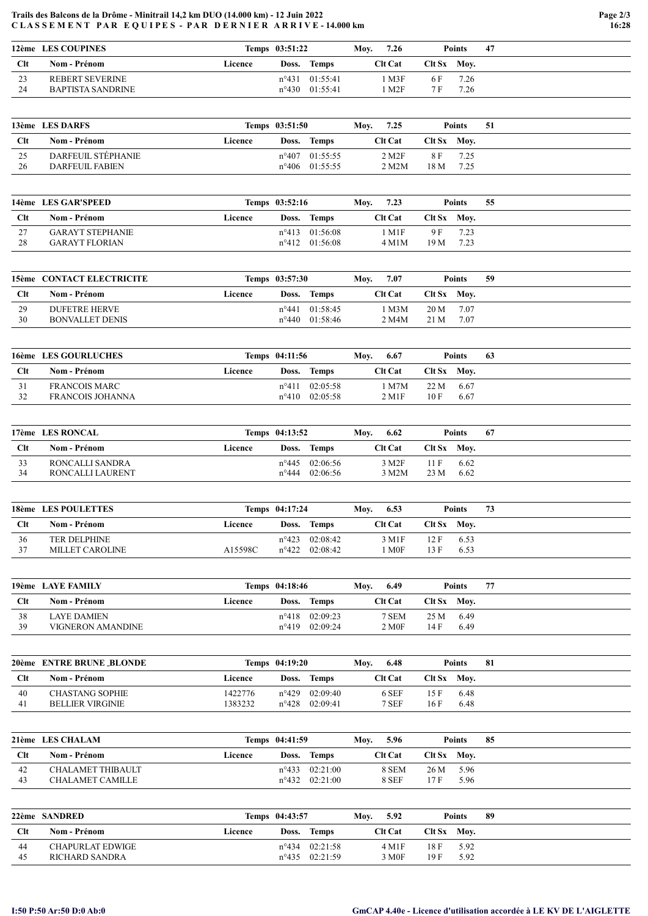## Trails des Balcons de la Drôme - Minitrail 14,2 km DUO (14.000 km) - 12 Juin 2022 CLASSEMENT PAR EQUIPES - PAR DERNIER ARRIVE-14.000 km

|     | 12ème LES COUPINES     |         | Temps 03:51:22 |                         | Mov. | 7.26           |             | <b>Points</b> | -47 |
|-----|------------------------|---------|----------------|-------------------------|------|----------------|-------------|---------------|-----|
| Clt | Nom - Prénom           | Licence | Doss.          | Temps                   |      | <b>Clt Cat</b> | Clt Sx Mov. |               |     |
| 23  | <b>REBERT SEVERINE</b> |         |                | $n^{\circ}431$ 01:55:41 |      | M3F            | 6 F         | 7.26          |     |
| 24  | BAPTISTA SANDRINE      |         |                | $n^{\circ}430$ 01:55:41 |      | M2F            | 7 F         | 7.26          |     |

|           | 13ème LES DARFS    |         | Temps 03:51:50 |                         | Mov. | 7.25               |             | Points | -51 |
|-----------|--------------------|---------|----------------|-------------------------|------|--------------------|-------------|--------|-----|
| Clt       | Nom - Prénom       | Licence | Doss.          | Temps                   |      | <b>Clt Cat</b>     | Clt Sx Moy. |        |     |
| 25<br>ر ب | DARFEUIL STÉPHANIE |         |                | $n^{\circ}407$ 01:55:55 |      | 2 M <sub>2</sub> F | 8 F         | 7.25   |     |
| 26        | DARFEUIL FABIEN    |         |                | $n^{\circ}406$ 01:55:55 |      | $2$ M $2$ M        | 18 M        | 7.25   |     |

|          | 14ème LES GAR'SPEED                              |         | Temps 03:52:16 |                                                          | Mov. | 7.23         |             | Points       | 55 |
|----------|--------------------------------------------------|---------|----------------|----------------------------------------------------------|------|--------------|-------------|--------------|----|
| Clt      | Nom - Prénom                                     | Licence | Doss.          | <b>Temps</b>                                             |      | Clt Cat      | Clt Sx Mov. |              |    |
| 27<br>28 | <b>GARAYT STEPHANIE</b><br><b>GARAYT FLORIAN</b> |         |                | $n^{\circ}413$ 01:56:08<br>$n^{\circ}412 \quad 01:56:08$ |      | M1F<br>4 M1M | 9 F<br>19 M | 7.23<br>7.23 |    |

|     | 15ème CONTACT ELECTRICITE |         | Temps 03:57:30 |                         | Mov. | 7.07    |             | Points | -59 |
|-----|---------------------------|---------|----------------|-------------------------|------|---------|-------------|--------|-----|
| Clt | Nom - Prénom              | Licence | Doss.          | Temps                   |      | Clt Cat | Clt Sx Moy. |        |     |
| 29  | <b>DUFETRE HERVE</b>      |         |                | $n^{\circ}441$ 01:58:45 |      | 1 M3M   | 20 M        | - 7.07 |     |
| 30  | <b>BONVALLET DENIS</b>    |         |                | $n^{\circ}440$ 01:58:46 |      | 2 M4M   | 21 M        | 7.07   |     |

|     | 16ème LES GOURLUCHES |         | Temps 04:11:56 |              | Moy. | 6.67                   |             | <b>Points</b> | -63 |
|-----|----------------------|---------|----------------|--------------|------|------------------------|-------------|---------------|-----|
| Clt | Nom - Prénom         | Licence | Doss.          | <b>Temps</b> |      | <b>Clt Cat</b>         | Clt Sx Mov. |               |     |
|     | FRANCOIS MARC        |         | $n^{\circ}411$ | 02:05:58     |      | M7M                    | $22 M$ 6.67 |               |     |
| 32  | FRANCOIS JOHANNA     |         | $n^{\circ}410$ | 02:05:58     |      | $2$ M <sub>1</sub> $F$ | 10 F        | 6.67          |     |

|     | 17ème LES RONCAL |         | Temps 04:13:52 |                               | Moy. | 6.62           |             | <b>Points</b> | -67 |
|-----|------------------|---------|----------------|-------------------------------|------|----------------|-------------|---------------|-----|
| Clt | Nom - Prénom     | Licence | Doss.          | Temps                         |      | <b>Clt Cat</b> | Clt Sx Mov. |               |     |
| 33  | RONCALLI SANDRA  |         |                | $n^{\circ}445$ 02:06:56       |      | 3 M2F          | 11 F        | 6.62          |     |
| 34  | RONCALLI LAURENT |         |                | $n^{\circ}444 \quad 02:06:56$ |      | 3 M2M          | 23 M        | 6.62          |     |

|             | 18ème LES POULETTES |         | Temps 04:17:24 |                               | Mov. | 6.53    |               | <b>Points</b> | 73 |
|-------------|---------------------|---------|----------------|-------------------------------|------|---------|---------------|---------------|----|
| <b>C</b> lt | Nom - Prénom        | Licence | Doss.          | Temps                         |      | Clt Cat | $Clt Sx$ Mov. |               |    |
| 36          | <b>TER DELPHINE</b> |         |                | $n^{\circ}423$ 02:08:42       |      | 3 M1F   | 12 F          | 6.53          |    |
| 37          | MILLET CAROLINE     | A15598C |                | $n^{\circ}422 \quad 02:08:42$ |      | M0F     | 13F           | 6.53          |    |

|     | 19ème LAYE FAMILY  |         | Temps 04:18:46 |          | Mov. | 6.49              |                | Points | 77 |
|-----|--------------------|---------|----------------|----------|------|-------------------|----------------|--------|----|
| Clt | Nom - Prénom       | Licence | Doss.          | Temps    |      | <b>Clt Cat</b>    | $C$ It $S_{X}$ | Mov.   |    |
| 38  | <b>LAYE DAMIEN</b> |         | $n^{\circ}418$ | 02:09:23 |      | 7 SEM             | 25 M           | 6.49   |    |
| 39  | VIGNERON AMANDINE  |         | $n^{\circ}419$ | 02:09:24 |      | 2 M <sub>OF</sub> | 14 F           | 6.49   |    |

|     | 20ème ENTRE BRUNE BLONDE |         | Temps 04:19:20 |                         | Moy. | 6.48           |             | <b>Points</b> | -81 |
|-----|--------------------------|---------|----------------|-------------------------|------|----------------|-------------|---------------|-----|
| Clt | Nom - Prénom             | Licence | Doss.          | <b>Temps</b>            |      | <b>Clt Cat</b> | Clt Sx Mov. |               |     |
| 40  | <b>CHASTANG SOPHIE</b>   | 1422776 |                | $n^{\circ}429$ 02:09:40 |      | 6 SEF          | 15 F        | 6.48          |     |
| 41  | <b>BELLIER VIRGINIE</b>  | 1383232 |                | $n^{\circ}428$ 02:09:41 |      | 7 SEF          | 16 F        | 6.48          |     |

|     | 21ème LES CHALAM  |         | Temps 04:41:59 |                         | Moy. | 5.96           |               | Points | 85 |
|-----|-------------------|---------|----------------|-------------------------|------|----------------|---------------|--------|----|
| Clt | Nom - Prénom      | Licence |                | Doss. Temps             |      | <b>Clt Cat</b> | $Clt Sx$ Moy. |        |    |
| 42  | CHALAMET THIBAULT |         |                | $n^{\circ}433$ 02:21:00 |      | 8 SEM          | $26 M$ 5.96   |        |    |
| 43  | CHALAMET CAMILLE  |         |                | $n^{\circ}432$ 02:21:00 |      | 8 SEF          | 17 F          | 5.96   |    |

|     | <b>22ème SANDRED</b> |         | Temps 04:43:57 |                         | Moy. | 5.92              |             | <b>Points</b> | -89 |
|-----|----------------------|---------|----------------|-------------------------|------|-------------------|-------------|---------------|-----|
| Clt | Nom - Prénom         | Licence | Doss.          | <b>Temps</b>            |      | <b>Clt Cat</b>    | Clt Sx Mov. |               |     |
| 44  | CHAPURLAT EDWIGE     |         |                | $n^{\circ}434$ 02:21:58 |      | 4 M1F             | 18 F        | 5.92          |     |
| 45  | RICHARD SANDRA       |         |                | $n^{\circ}435$ 02:21:59 |      | 3 M <sub>OF</sub> | 19 F        | 5.92          |     |